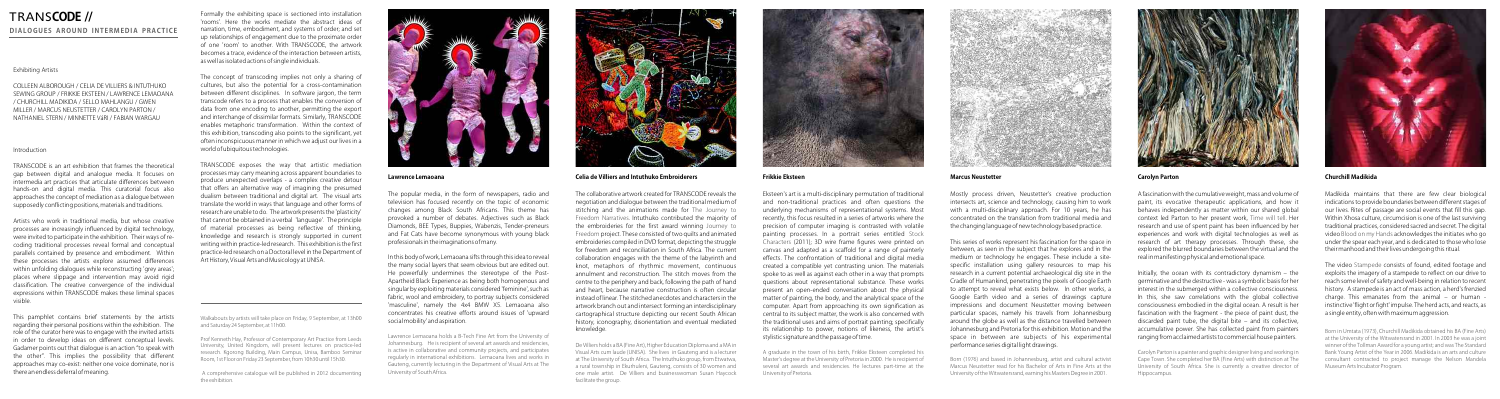#### **Lawrence Lemaoana**

The popular media, in the form of newspapers, radio and television has focused recently on the topic of economic changes among Black South Africans. This theme has provoked a number of debates. Adjectives such as Black Diamonds, BEE Types, Buppies, Wabenzis, Tender-preneurs and Fat Cats have become synonymous with young black professionals in the imaginations of many.

In this body of work, Lemaoana sifts through this idea to reveal the many social layers that seem obvious but are edited out. He powerfully undermines the stereotype of the Post-Apartheid Black Experience as being both homogenous and singular by exploiting materials considered 'feminine', such as fabric, wool and embroidery, to portray subjects considered 'masculine', namely the 4x4 BMW X5. Lemaoana also concentrates his creative efforts around issues of 'upward social mobility' and aspiration.

Lawrence Lemaoana holds a B-Tech Fine Art from the University of Johannesburg. He is recipient of several art awards and residencies, is active in collaborative and community projects, and participates regularly in international exhibitions. Lemaoana lives and works in Gauteng, currently lecturing in the Department of Visual Arts at The University of South Africa.

The collaborative artwork created for TRANSCODE reveals the negotiation and dialogue between the traditional medium of stitching and the animations made for The Journey to Freedom Narratives. Intuthuko contributed the majority of the embroideries for the first award winning Journey to Freedom project. These consisted of two quilts and animated embroideries compiled in DVD format, depicting the struggle for freedom and reconciliation in South Africa. The current collaboration engages with the theme of the labyrinth and knot, metaphors of rhythmic movement, continuous annulment and reconstruction. The stitch moves from the centre to the periphery and back, following the path of hand and heart, because narrative construction is often circular instead of linear. The stitched anecdotes and characters in the artwork branch out and intersect forming an interdisciplinary cartographical structure depicting our recent South African history, iconography, disorientation and eventual mediated



**Celia de Villiers and Intuthuko Embroiderers** 

knowledge.

De Villiers holds a BA (Fine Art), Higher Education Diploma and a MA in Visual Arts cum laude (UNISA). She lives in Gauteng and is a lecturer at The University of South Africa. The Intuthuko group, from Etwatwa, a rural township in Ekurhuleni, Gauteng, consists of 30 women and one male artist. De Villiers and businesswoman Susan Haycock facilitate the group.



**Frikkie Eksteen**

Eksteen's art is a multi-disciplinary permutation of traditional and non-traditional practices and often questions the underlying mechanisms of representational systems. Most recently, this focus resulted in a series of artworks where the precision of computer imaging is contrasted with volatile painting processes. In a portrait series entitled Stock Characters (2011); 3D wire frame figures were printed on canvas and adapted as a scaffold for a range of painterly effects. The confrontation of traditional and digital media created a compatible yet contrasting union. The materials spoke to as well as against each other in a way that prompts questions about representational substance. These works present an open-ended conversation about the physical matter of painting, the body, and the analytical space of the computer. Apart from approaching its own signification as central to its subject matter, the work is also concerned with the traditional uses and aims of portrait painting; specifically its relationship to power, notions of likeness, the artist's stylistic signature and the passage of time.

The video Stampede consists of found, edited footage and exploits the imagery of a stampede to reflect on our drive to reach some level of safety and well-being in relation to recent history. A stampede is an act of mass action, a herd's frenzied charge. This emanates from the animal – or human  $\cdot$ instinctive 'flight or fight' impulse. The herd acts, and reacts, as a single entity, often with maximum aggression.

A graduate in the town of his birth, Frikkie Eksteen completed his Master's degree at the University of Pretoria in 2000. He is recipient of several art awards and residencies. He lectures part-time at the University of Pretoria.



#### **Marcus Neustetter**

Mostly process driven, Neustetter's creative production intersects art, science and technology, causing him to work with a multi-disciplinary approach. For 10 years, he has concentrated on the translation from traditional media and the changing language of new technology based practice.

This series of works represent his fascination for the space in between, as seen in the subject that he explores and in the medium or technology he engages. These include a sitespecific installation using gallery resources to map his research in a current potential archaeological dig site in the Cradle of Humankind, penetrating the pixels of Google Earth to attempt to reveal what exists below. In other works, a Google Earth video and a series of drawings capture impressions and document Neustetter moving between particular spaces, namely his travels from Johannesburg around the globe as well as the distance travelled between Johannesburg and Pretoria for this exhibition. Motion and the space in between are subjects of his experimental performance series digital light drawings.

Born (1976) and based in Johannesburg, artist and cultural activist Marcus Neustetter read for his Bachelor of Arts in Fine Arts at the University of the Witwatersrand, earning his Masters Degree in 2001.



### **Carolyn Parton**

A fascination with the cumulative weight, mass and volume of paint, its evocative therapeutic applications, and how it behaves independently as matter within our shared global context led Parton to her present work, Time will tell. Her research and use of spent paint has been influenced by her experiences and work with digital technologies as well as research of art therapy processes. Through these, she explored the blurred boundaries between the virtual and the real in manifesting physical and emotional space.

Initially, the ocean with its contradictory dynamism – the germinative and the destructive - was a symbolic basis for her interest in the submerged within a collective consciousness. In this, she saw correlations with the global collective consciousness embodied in the digital ocean. A result is her fascination with the fragment - the piece of paint dust, the discarded paint tube, the digital bite – and its collective, accumulative power. She has collected paint from painters ranging from acclaimed artists to commercial house painters.

Carolyn Parton is a painter and graphic designer living and working in Cape Town. She completed her BA (Fine Arts) with distinction at The University of South Africa. She is currently a creative director of Hippocampus.



#### **Churchill Madikida**

Madikida maintains that there are few clear biological indications to provide boundaries between different stages of our lives. Rites of passage are social events that fill this gap. Within Xhosa culture, circumcision is one of the last surviving traditional practices, considered sacred and secret. The digital video Blood on my Hands acknowledges the initiates who go under the spear each year, and is dedicated to those who lose their manhood and their lives undergoing this ritual.

Born in Umtata (1973), Churchill Madikida obtained his BA (Fine Arts) at the University of the Witwatersrand in 2001. In 2003 he was a joint winner of the Tollman Award for a young artist; and was The Standard Bank Young Artist of the Year in 2006. Madikida is an arts and culture consultant contracted to project manage the Nelson Mandela Museum Arts Incubator Program.

#### Exhibiting Artists

COLLEEN ALBOROUGH / CELIA DE VILLIERS & INTUTHUKO SEWING GROUP / FRIKKIE EKSTEEN / LAWRENCE LEMAOANA / CHURCHILL MADIKIDA / SELLO MAHLANGU / GWEN MILLER / MARCUS NEUSTETTER / CAROLYN PARTON / NATHANIEL STERN / MINNETTE VáRI / FABIAN WARGAU

#### Introduction

TRANSCODE is an art exhibition that frames the theoretical gap between digital and analogue media. It focuses on intermedia art practices that articulate differences between hands-on and digital media. This curatorial focus also approaches the concept of mediation as a dialogue between supposedly conflicting positions, materials and traditions.

Artists who work in traditional media, but whose creative processes are increasingly influenced by digital technology, were invited to participate in the exhibition. Their ways of recoding traditional processes reveal formal and conceptual parallels contained by presence and embodiment. Within these processes the artists explore assumed differences within unfolding dialogues while reconstructing 'grey areas'; places where slippage and intervention may avoid rigid classification. The creative convergence of the individual expressions within TRANSCODE makes these liminal spaces visible.

This pamphlet contains brief statements by the artists regarding their personal positions within the exhibition. The role of the curator here was to engage with the invited artists in order to develop ideas on different conceptual levels. Gadamer points out that dialogue is an action "to speak with the other". This implies the possibility that different approaches may co-exist: neither one voice dominate, nor is there an endless deferral of meaning.

Formally the exhibiting space is sectioned into installation 'rooms'. Here the works mediate the abstract ideas of narration, time, embodiment, and systems of order; and set up relationships of engagement due to the proximate order of one 'room' to another. With TRANSCODE, the artwork becomes a trace, evidence of the interaction between artists, as well as isolated actions of single individuals.

The concept of transcoding implies not only a sharing of cultures, but also the potential for a cross-contamination between different disciplines. In software jargon, the term transcode refers to a process that enables the conversion of data from one encoding to another, permitting the export and interchange of dissimilar formats. Similarly, TRANSCODE enables metaphoric transformation. Within the context of this exhibition, transcoding also points to the significant, yet often inconspicuous manner in which we adjust our lives in a world of ubiquitous technologies.

TRANSCODE exposes the way that artistic mediation processes may carry meaning across apparent boundaries to produce unexpected overlaps - a complex creative detour that offers an alternative way of imagining the presumed dualism between traditional and digital art. The visual arts translate the world in ways that language and other forms of research are unable to do. The artwork presents the 'plasticity' that cannot be obtained in a verbal 'language'. The principle of material processes as being reflective of thinking, knowledge and research is strongly supported in current writing within practice-led research. This exhibition is the first practice-led research on a Doctoral level in the Department of Art History, Visual Arts and Musicology at UNISA.

Walkabouts by artists will take place on Friday, 9 September, at 13h00 and Saturday 24 September, at 11h00.

Prof Kenneth Hay, Professor of Contemporary Art Practice from Leeds University, United Kingdom, will present lectures on practice-led research. Kgorong Building, Main Campus, Unisa, Bamboo Seminar Room, 1st Floor on Friday 23 September, from 10h30 until 15h30.

 A comprehensive catalogue will be published in 2012 documenting the exhibition.



## TRANS**CODE // DIALOGUES AROUND INTERMEDIA PRACTICE**